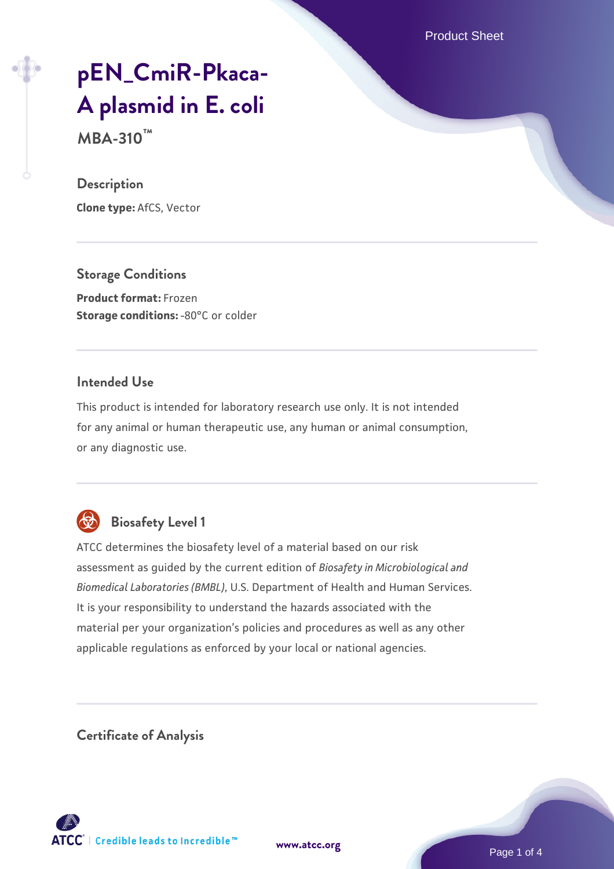Product Sheet

# **[pEN\\_CmiR-Pkaca-](https://www.atcc.org/products/mba-310)[A plasmid in E. coli](https://www.atcc.org/products/mba-310)**

**MBA-310™**

#### **Description**

**Clone type:** AfCS, Vector

**Storage Conditions Product format:** Frozen **Storage conditions: -80°C or colder** 

#### **Intended Use**

This product is intended for laboratory research use only. It is not intended for any animal or human therapeutic use, any human or animal consumption, or any diagnostic use.



## **Biosafety Level 1**

ATCC determines the biosafety level of a material based on our risk assessment as guided by the current edition of *Biosafety in Microbiological and Biomedical Laboratories (BMBL)*, U.S. Department of Health and Human Services. It is your responsibility to understand the hazards associated with the material per your organization's policies and procedures as well as any other applicable regulations as enforced by your local or national agencies.

**Certificate of Analysis**

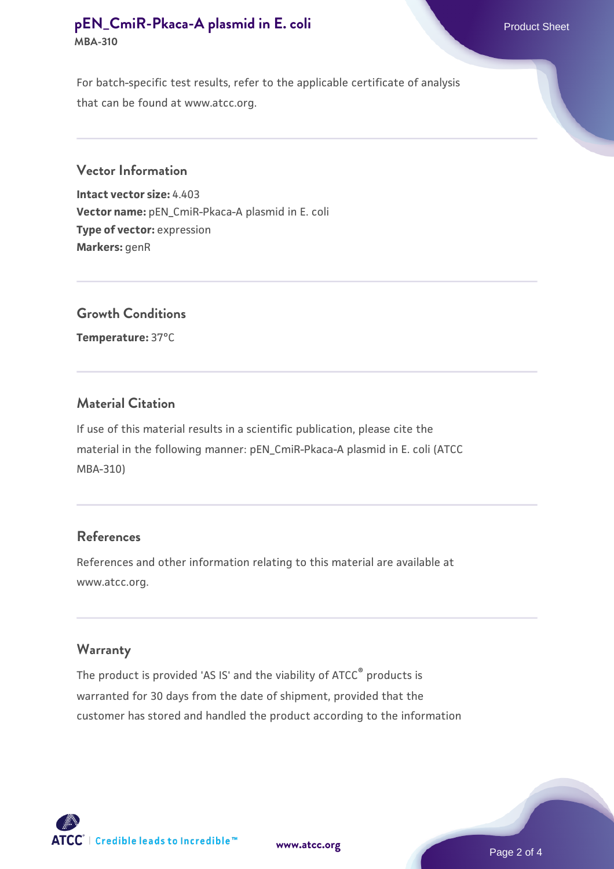### **[pEN\\_CmiR-Pkaca-A plasmid in E. coli](https://www.atcc.org/products/mba-310)** Product Sheet **MBA-310**

For batch-specific test results, refer to the applicable certificate of analysis that can be found at www.atcc.org.

#### **Vector Information**

**Intact vector size:** 4.403 **Vector name:** pEN\_CmiR-Pkaca-A plasmid in E. coli **Type of vector:** expression **Markers:** genR

#### **Growth Conditions**

**Temperature:** 37°C

#### **Material Citation**

If use of this material results in a scientific publication, please cite the material in the following manner: pEN\_CmiR-Pkaca-A plasmid in E. coli (ATCC MBA-310)

#### **References**

References and other information relating to this material are available at www.atcc.org.

#### **Warranty**

The product is provided 'AS IS' and the viability of ATCC<sup>®</sup> products is warranted for 30 days from the date of shipment, provided that the customer has stored and handled the product according to the information



**[www.atcc.org](http://www.atcc.org)**

Page 2 of 4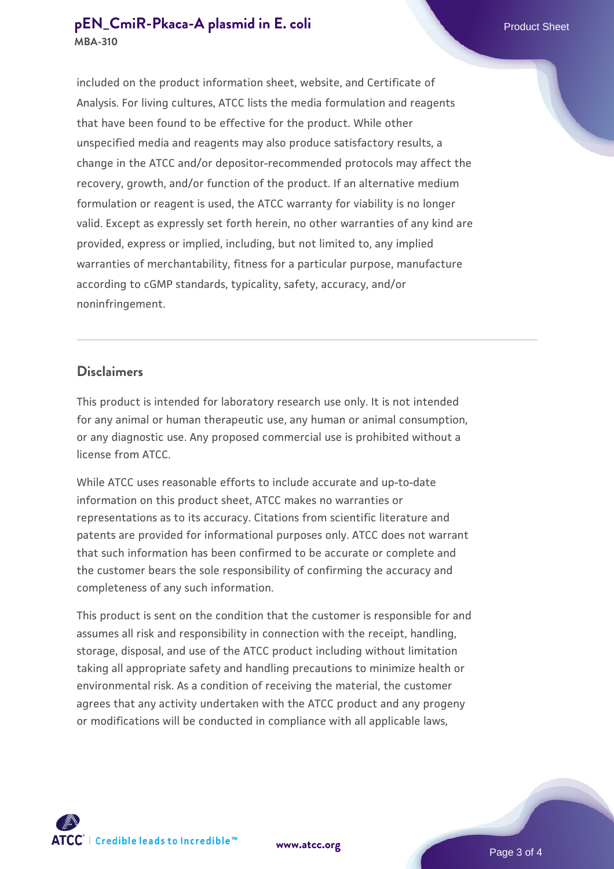#### **[pEN\\_CmiR-Pkaca-A plasmid in E. coli](https://www.atcc.org/products/mba-310)** Product Sheet **MBA-310**

included on the product information sheet, website, and Certificate of Analysis. For living cultures, ATCC lists the media formulation and reagents that have been found to be effective for the product. While other unspecified media and reagents may also produce satisfactory results, a change in the ATCC and/or depositor-recommended protocols may affect the recovery, growth, and/or function of the product. If an alternative medium formulation or reagent is used, the ATCC warranty for viability is no longer valid. Except as expressly set forth herein, no other warranties of any kind are provided, express or implied, including, but not limited to, any implied warranties of merchantability, fitness for a particular purpose, manufacture according to cGMP standards, typicality, safety, accuracy, and/or noninfringement.

#### **Disclaimers**

This product is intended for laboratory research use only. It is not intended for any animal or human therapeutic use, any human or animal consumption, or any diagnostic use. Any proposed commercial use is prohibited without a license from ATCC.

While ATCC uses reasonable efforts to include accurate and up-to-date information on this product sheet, ATCC makes no warranties or representations as to its accuracy. Citations from scientific literature and patents are provided for informational purposes only. ATCC does not warrant that such information has been confirmed to be accurate or complete and the customer bears the sole responsibility of confirming the accuracy and completeness of any such information.

This product is sent on the condition that the customer is responsible for and assumes all risk and responsibility in connection with the receipt, handling, storage, disposal, and use of the ATCC product including without limitation taking all appropriate safety and handling precautions to minimize health or environmental risk. As a condition of receiving the material, the customer agrees that any activity undertaken with the ATCC product and any progeny or modifications will be conducted in compliance with all applicable laws,



**[www.atcc.org](http://www.atcc.org)**

Page 3 of 4